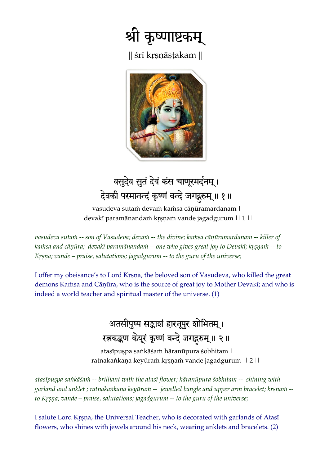

 $\parallel$  śrī krsnāstakam  $\parallel$ 



# वसुदेव सुतं देवं कंस चाणूरमर्दनम्। देवकी परमानन्दं कृष्णं वन्दे जगद्गरुम् ॥ १॥

vasudeva sutam devam kamsa cānūramardanam | devakī paramānandam krsnam vande jagadgurum || 1 ||

vasudeva sutam -- son of Vasudeva; devam -- the divine; kamsa cāņūramardanam -- killer of kamsa and cāņūra; devakī paramānandam -- one who gives great joy to Devakī; krsnam -- to *Krsna; vande – praise, salutations; jagadgurum -- to the guru of the universe;* 

I offer my obeisance's to Lord Krsna, the beloved son of Vasudeva, who killed the great demons Kamsa and Cāņūra, who is the source of great joy to Mother Devakī; and who is indeed a world teacher and spiritual master of the universe. (1)

#### अतसीपुष्प सङ्काशं हारनूपुर शोभितम् । रत्नकङ्कण केयूरं कृष्णं वन्दे जगद्गरुम् ॥ २ ॥

atasīpuṣpa saṅkāśaṁ hāranūpura śobhitam | ratnakankana keyūram krsnam vande jagadgurum || 2 ||

atasīpuspa sankāśam -- brilliant with the atasī flower; hāranūpura śobhitam -- shining with garland and anklet ; ratnakankana keyūram -- jewelled bangle and upper arm bracelet; krsnam -to Kr*șna; vande – praise, salutations; jagadgurum -- to the guru of the universe;* 

I salute Lord Krsna, the Universal Teacher, who is decorated with garlands of Atasī flowers, who shines with jewels around his neck, wearing anklets and bracelets. (2)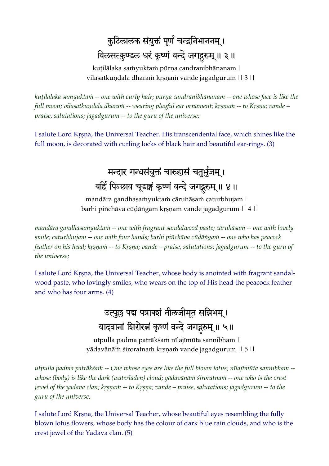## कुटिलालक संयुक्तं पूर्ण चन्द्रनिभाननम् । विलसत्कुण्डल धरं कृष्णं वन्दे जगद्गुरुम् ॥ ३ ॥

kuțilālaka samyuktam pūrņa candranibhānanam | vilasatkundala dharam krsnam vande jagadgurum || 3 ||

kuțilālaka samyuktam -- one with curly hair; pūrņa candranibhānanam -- one whose face is like the *full moon; vilasatkundala dharam -- wearing playful ear ornament; krsnam -- to Krsna; vande – praise, salutations; jagadgurum -- to the guru of the universe;* 

I salute Lord Kåñëa, the Universal Teacher. His transcendental face, which shines like the full moon, is decorated with curling locks of black hair and beautiful ear-rings. (3)

## मन्दार गन्धसंयुक्तं चारुहासं चतुर्भुजम् । बर्हि पिञ्छाव चूडाङ्गं कृष्णं वन्दे जगद्गुरुम् ॥ ४ ॥

mandāra gandhasamyuktam cāruhāsam caturbhujam | barhi piñchāva cūḍāṅgaṁ kṛṣṇaṁ vande jagadgurum || 4 ||

mandāra gandhasa*inyuktain -- one with fragrant sandalwood paste; cāruhāsain -- one with lovely* smile; caturbhujam -- one with four hands; barhi piñchāva cūḍāṅgaṁ -- one who has peacock *feather on his head; kṛṣṇaṁ -- to Kṛṣṇa; vande – praise, salutations; jagadgurum -- to the guru of the universe;* 

I salute Lord Krsna, the Universal Teacher, whose body is anointed with fragrant sandalwood paste, who lovingly smiles, who wears on the top of His head the peacock feather and who has four arms. (4)

> उत्पुछ पद्म पत्राक्शं नीलजीमूत सन्निभम्। यादवानां शिरोरत्नं कृष्णं वन्दे जगद्गरुम् ॥ ५॥

utpulla padma patrākśam nīlajīmūta sannibham | yādavānām śiroratnam krṣṇam vande jagadgurum || 5 ||

*utpulla padma paträkçaà -- One whose eyes are like the full blown lotus; nélajémüta sannibham - whose (body) is like the dark (waterladen) cloud; yādavānā* $\dot{m}$  *śiroratna* $\dot{m}$  *-- one who is the crest jewel of the yadava clan; kr§nam -- to Kr§na; vande – praise, salutations; jagadgurum -- to the guru of the universe;* 

I salute Lord Krsna, the Universal Teacher, whose beautiful eyes resembling the fully blown lotus flowers, whose body has the colour of dark blue rain clouds, and who is the crest jewel of the Yadava clan. (5)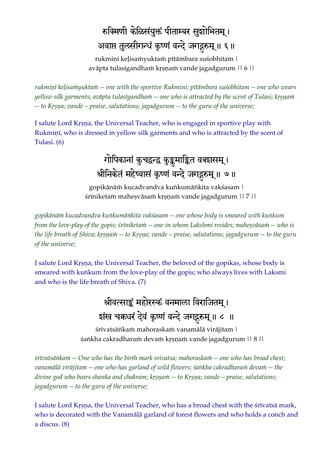# रुक्मिणी केळिसंयुक्तं पीताम्बर सुशोभितम् । अवाप्त तुलसीगन्धं कृष्णं वन्दे जगद्गुरुम् ॥ ६ ॥

rukmiņī keļisamyuktam pītāmbara suśobhitam | avāpta tulasīgandham kṛṣṇaṁ vande jagadgurum || 6 ||

rukminī keļisamyuktam -- one with the sportive Rukmini; pītāmbara suśobhitam -- one who wears *yellow silk garments; avāpta tulasīgandham -- one who is attracted by the scent of Tulasi; krsnam* -- to Krsna; vande – praise, salutations; jagadgurum -- to the guru of the universe;

I salute Lord Krsna, the Universal Teacher, who is engaged in sportive play with Rukmini, who is dressed in yellow silk garments and who is attracted by the scent of Tulasi. (6)

> गोपिकानां कुचद्वन्द्व कुङ्कुमाङ्कित वक्शसम्। श्रीनिकेतं महेष्वासं कृष्णं वन्दे जगद्गुरुम् ॥ ७॥

gopikānām kucadvandva kunkumānkita vakśasam | śrīniketam mahesvāsam krsnam vande jagadgurum || 7 ||

*gopikänäà kucadvandva kuìkumäìkita vakçasam -- one whose body is smeared with kuìkum from the love-play of the gopis; śrīniketam -- one in whom Lakshmi resides; mahesvāsam -- who is the life breath of Shiva; kr§ñam -- to Kr§ña; vande – praise, salutations; jagadgurum -- to the guru of the universe;*

I salute Lord Krsna, the Universal Teacher, the beloved of the gopikas, whose body is smeared with kunkum from the love-play of the gopis; who always lives with Laksmi and who is the life breath of Shiva. (7)

> श्रीवत्साङ्कं महोरस्कं वनमाला विराजितम् । शंख चक्रधरं देवं कृष्णं वन्दे जगद्गुरुम् ॥ ८ ॥

śrīvatsānkam mahoraskam vanamālā virājitam | śankha cakradharam devam krṣṇam vande jagadgurum || 8 ||

*frīvatsānkam -- One who has the birth mark srivatsa; mahoraskam -- one who has broad chest;* vanamālā virājitam -- one who has garland of wild flowers; śankha cakradharam devam -- the *divine god who bears shanka and chakram; kr§nam -- to Kr§na; vande – praise, salutations; jagadgurum -- to the guru of the universe;* 

I salute Lord Krsna, the Universal Teacher, who has a broad chest with the srivatsä mark, who is decorated with the Vanamälä garland of forest flowers and who holds a conch and a discus. (8)